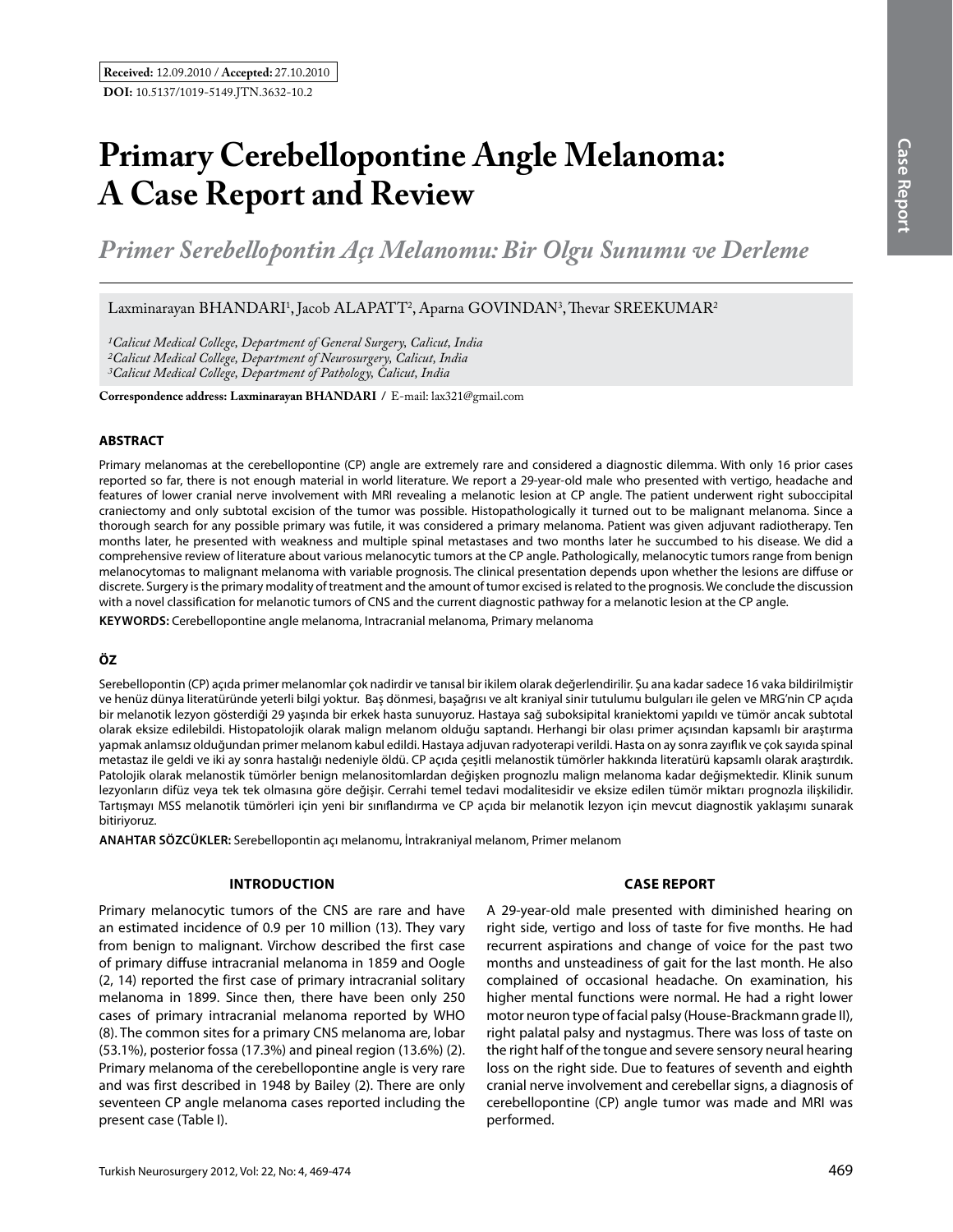# **Primary Cerebellopontine Angle Melanoma: A Case Report and Review**

*Primer Serebellopontin Açı Melanomu: Bir Olgu Sunumu ve Derleme* 

Laxminarayan BHANDARI<sup>1</sup>, Jacob ALAPATT<sup>2</sup>, Aparna GOVINDAN<sup>3</sup>, Thevar SREEKUMAR<sup>2</sup>

*1Calicut Medical College, Department of General Surgery, Calicut, India 2Calicut Medical College, Department of Neurosurgery, Calicut, India 3Calicut Medical College, Department of Pathology, Calicut, India*

**Correspondence address: Laxminarayan Bhandarı /** E-mail: lax321@gmail.com

#### **ABSTRACT**

Primary melanomas at the cerebellopontine (CP) angle are extremely rare and considered a diagnostic dilemma. With only 16 prior cases reported so far, there is not enough material in world literature. We report a 29-year-old male who presented with vertigo, headache and features of lower cranial nerve involvement with MRI revealing a melanotic lesion at CP angle. The patient underwent right suboccipital craniectomy and only subtotal excision of the tumor was possible. Histopathologically it turned out to be malignant melanoma. Since a thorough search for any possible primary was futile, it was considered a primary melanoma. Patient was given adjuvant radiotherapy. Ten months later, he presented with weakness and multiple spinal metastases and two months later he succumbed to his disease. We did a comprehensive review of literature about various melanocytic tumors at the CP angle. Pathologically, melanocytic tumors range from benign melanocytomas to malignant melanoma with variable prognosis. The clinical presentation depends upon whether the lesions are diffuse or discrete. Surgery is the primary modality of treatment and the amount of tumor excised is related to the prognosis. We conclude the discussion with a novel classification for melanotic tumors of CNS and the current diagnostic pathway for a melanotic lesion at the CP angle.

**Keywords:** Cerebellopontine angle melanoma, Intracranial melanoma, Primary melanoma

## **ÖZ**

Serebellopontin (CP) açıda primer melanomlar çok nadirdir ve tanısal bir ikilem olarak değerlendirilir. Şu ana kadar sadece 16 vaka bildirilmiştir ve henüz dünya literatüründe yeterli bilgi yoktur. Baş dönmesi, başağrısı ve alt kraniyal sinir tutulumu bulguları ile gelen ve MRG'nin CP açıda bir melanotik lezyon gösterdiği 29 yaşında bir erkek hasta sunuyoruz. Hastaya sağ suboksipital kraniektomi yapıldı ve tümör ancak subtotal olarak eksize edilebildi. Histopatolojik olarak malign melanom olduğu saptandı. Herhangi bir olası primer açısından kapsamlı bir araştırma yapmak anlamsız olduğundan primer melanom kabul edildi. Hastaya adjuvan radyoterapi verildi. Hasta on ay sonra zayıflık ve çok sayıda spinal metastaz ile geldi ve iki ay sonra hastalığı nedeniyle öldü. CP açıda çeşitli melanostik tümörler hakkında literatürü kapsamlı olarak araştırdık. Patolojik olarak melanostik tümörler benign melanositomlardan değişken prognozlu malign melanoma kadar değişmektedir. Klinik sunum lezyonların difüz veya tek tek olmasına göre değişir. Cerrahi temel tedavi modalitesidir ve eksize edilen tümör miktarı prognozla ilişkilidir. Tartışmayı MSS melanotik tümörleri için yeni bir sınıflandırma ve CP açıda bir melanotik lezyon için mevcut diagnostik yaklaşımı sunarak bitiriyoruz.

**ANAHTAR SÖZCÜKLER:** Serebellopontin açı melanomu, İntrakraniyal melanom, Primer melanom

## **Introductıon**

Primary melanocytic tumors of the CNS are rare and have an estimated incidence of 0.9 per 10 million (13). They vary from benign to malignant. Virchow described the first case of primary diffuse intracranial melanoma in 1859 and Oogle (2, 14) reported the first case of primary intracranial solitary melanoma in 1899. Since then, there have been only 250 cases of primary intracranial melanoma reported by WHO (8). The common sites for a primary CNS melanoma are, lobar (53.1%), posterior fossa (17.3%) and pineal region (13.6%) (2). Primary melanoma of the cerebellopontine angle is very rare and was first described in 1948 by Bailey (2). There are only seventeen CP angle melanoma cases reported including the present case (Table I).

#### **Case report**

A 29-year-old male presented with diminished hearing on right side, vertigo and loss of taste for five months. He had recurrent aspirations and change of voice for the past two months and unsteadiness of gait for the last month. He also complained of occasional headache. On examination, his higher mental functions were normal. He had a right lower motor neuron type of facial palsy (House-Brackmann grade II), right palatal palsy and nystagmus. There was loss of taste on the right half of the tongue and severe sensory neural hearing loss on the right side. Due to features of seventh and eighth cranial nerve involvement and cerebellar signs, a diagnosis of cerebellopontine (CP) angle tumor was made and MRI was performed.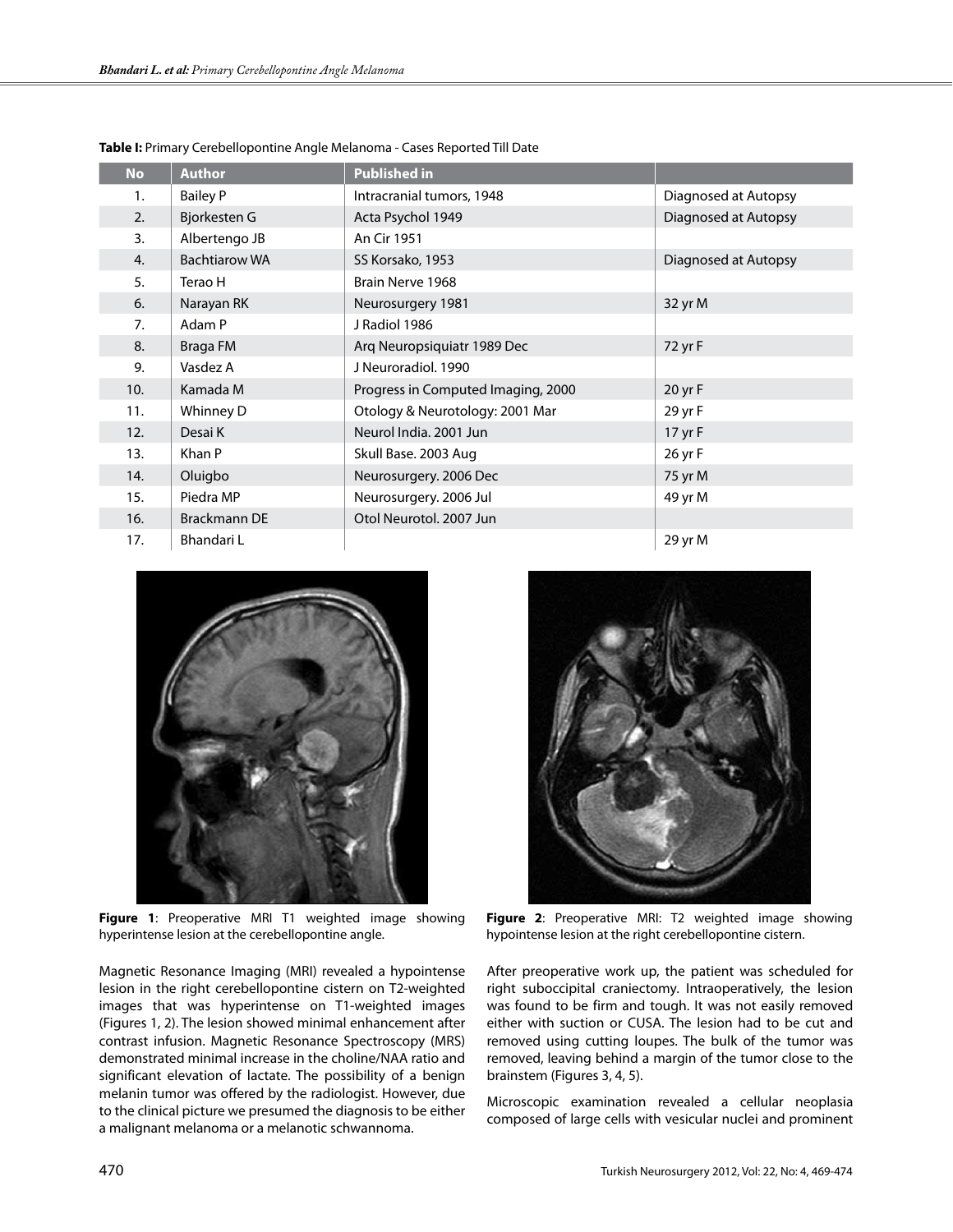| <b>No</b> | <b>Author</b>        | <b>Published in</b>                |                      |  |
|-----------|----------------------|------------------------------------|----------------------|--|
| 1.        | <b>Bailey P</b>      | Intracranial tumors, 1948          | Diagnosed at Autopsy |  |
| 2.        | Bjorkesten G         | Acta Psychol 1949                  | Diagnosed at Autopsy |  |
| 3.        | Albertengo JB        | An Cir 1951                        |                      |  |
| 4.        | <b>Bachtiarow WA</b> | SS Korsako, 1953                   | Diagnosed at Autopsy |  |
| 5.        | Terao H              | Brain Nerve 1968                   |                      |  |
| 6.        | Narayan RK           | Neurosurgery 1981                  | 32 yr M              |  |
| 7.        | Adam P               | J Radiol 1986                      |                      |  |
| 8.        | Braga FM             | Arg Neuropsiquiatr 1989 Dec        | 72 yr F              |  |
| 9.        | Vasdez A             | J Neuroradiol, 1990                |                      |  |
| 10.       | Kamada M             | Progress in Computed Imaging, 2000 | 20 yr F              |  |
| 11.       | Whinney D            | Otology & Neurotology: 2001 Mar    | 29 yr F              |  |
| 12.       | Desai K              | Neurol India, 2001 Jun             | 17 yr F              |  |
| 13.       | Khan P               | Skull Base. 2003 Aug               | 26 yr F              |  |
| 14.       | Oluigbo              | Neurosurgery. 2006 Dec             | 75 yr M              |  |
| 15.       | Piedra MP            | Neurosurgery. 2006 Jul             | 49 yr M              |  |
| 16.       | <b>Brackmann DE</b>  | Otol Neurotol, 2007 Jun            |                      |  |
| 17.       | Bhandari L           |                                    | 29 yr M              |  |

**Table I:** Primary Cerebellopontine Angle Melanoma - Cases Reported Till Date



**Figure 1**: Preoperative MRI T1 weighted image showing hyperintense lesion at the cerebellopontine angle.

Magnetic Resonance Imaging (MRI) revealed a hypointense lesion in the right cerebellopontine cistern on T2-weighted images that was hyperintense on T1-weighted images (Figures 1, 2). The lesion showed minimal enhancement after contrast infusion. Magnetic Resonance Spectroscopy (MRS) demonstrated minimal increase in the choline/NAA ratio and significant elevation of lactate. The possibility of a benign melanin tumor was offered by the radiologist. However, due to the clinical picture we presumed the diagnosis to be either a malignant melanoma or a melanotic schwannoma.



**Figure 2**: Preoperative MRI: T2 weighted image showing hypointense lesion at the right cerebellopontine cistern.

After preoperative work up, the patient was scheduled for right suboccipital craniectomy. Intraoperatively, the lesion was found to be firm and tough. It was not easily removed either with suction or CUSA. The lesion had to be cut and removed using cutting loupes. The bulk of the tumor was removed, leaving behind a margin of the tumor close to the brainstem (Figures 3, 4, 5).

Microscopic examination revealed a cellular neoplasia composed of large cells with vesicular nuclei and prominent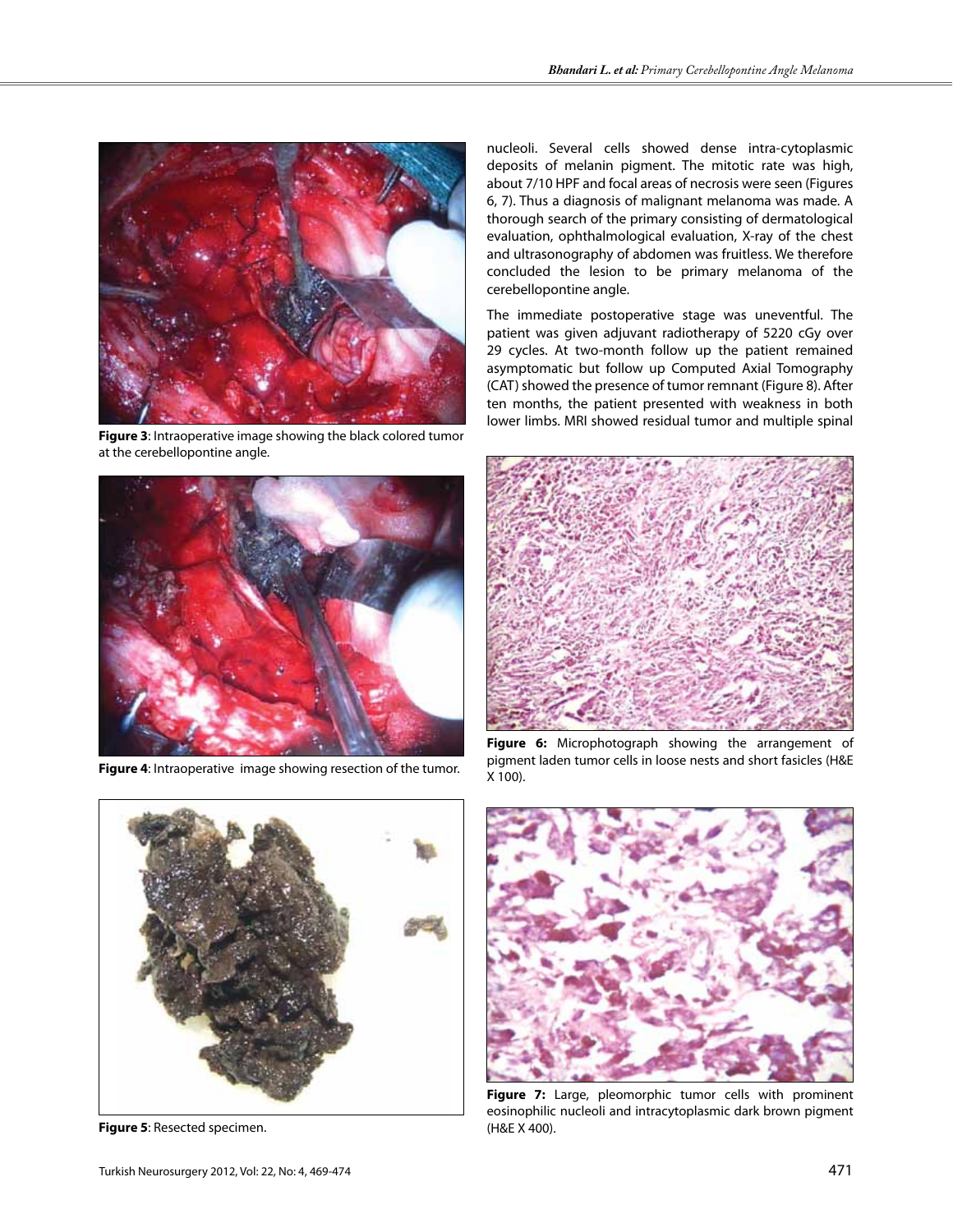

**Figure 3**: Intraoperative image showing the black colored tumor at the cerebellopontine angle.



**Figure 4**: Intraoperative image showing resection of the tumor.

**Figure 5**: Resected specimen.

nucleoli. Several cells showed dense intra-cytoplasmic deposits of melanin pigment. The mitotic rate was high, about 7/10 HPF and focal areas of necrosis were seen (Figures 6, 7). Thus a diagnosis of malignant melanoma was made. A thorough search of the primary consisting of dermatological evaluation, ophthalmological evaluation, X-ray of the chest and ultrasonography of abdomen was fruitless. We therefore concluded the lesion to be primary melanoma of the cerebellopontine angle.

The immediate postoperative stage was uneventful. The patient was given adjuvant radiotherapy of 5220 cGy over 29 cycles. At two-month follow up the patient remained asymptomatic but follow up Computed Axial Tomography (CAT) showed the presence of tumor remnant (Figure 8). After ten months, the patient presented with weakness in both lower limbs. MRI showed residual tumor and multiple spinal



Figure 6: Microphotograph showing the arrangement of pigment laden tumor cells in loose nests and short fasicles (H&E X 100).



Figure 7: Large, pleomorphic tumor cells with prominent eosinophilic nucleoli and intracytoplasmic dark brown pigment (H&E X 400).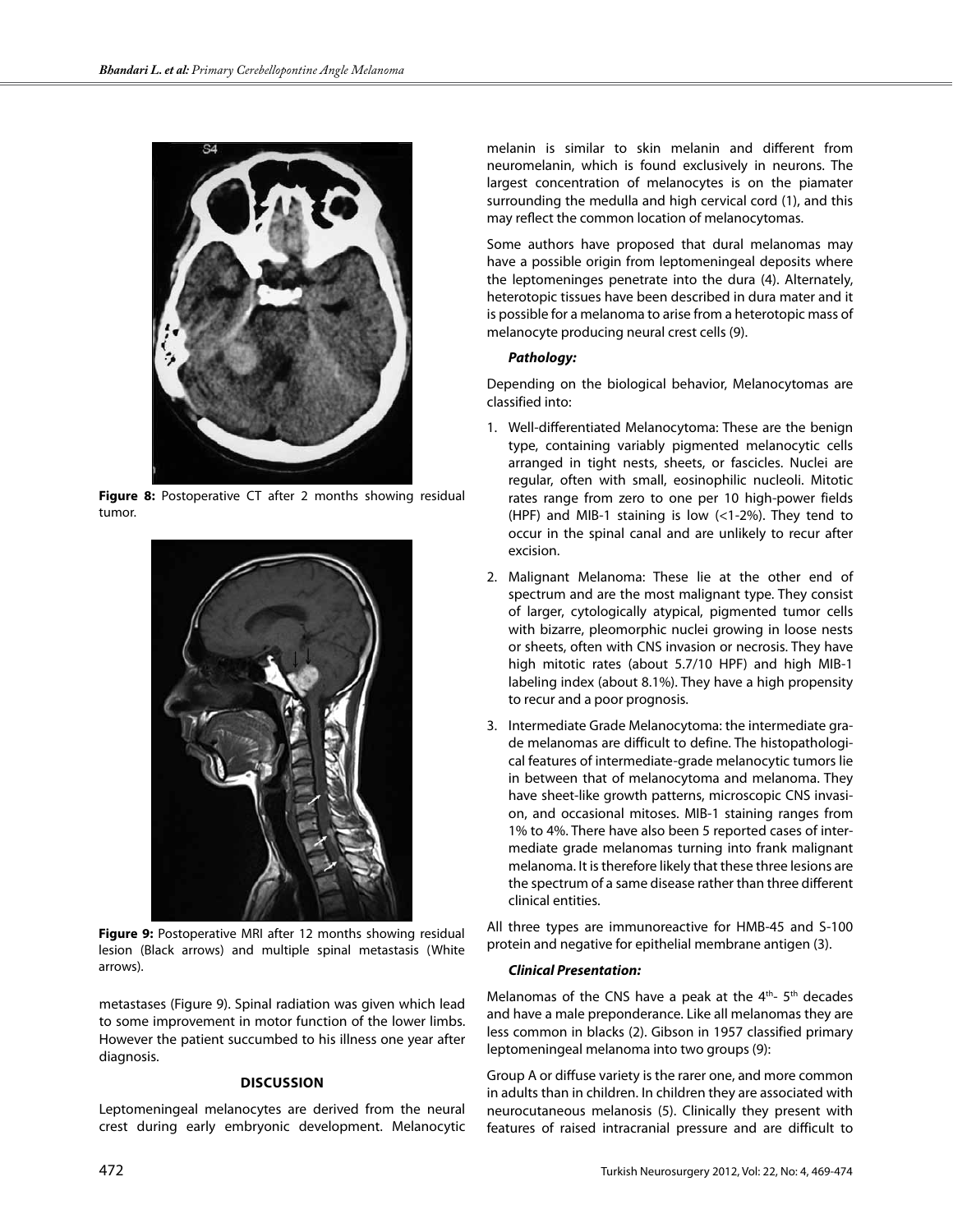

**Figure 8:** Postoperative CT after 2 months showing residual tumor.



**Figure 9:** Postoperative MRI after 12 months showing residual lesion (Black arrows) and multiple spinal metastasis (White arrows).

metastases (Figure 9). Spinal radiation was given which lead to some improvement in motor function of the lower limbs. However the patient succumbed to his illness one year after diagnosis.

## **Dıscussıon**

Leptomeningeal melanocytes are derived from the neural crest during early embryonic development. Melanocytic melanin is similar to skin melanin and different from neuromelanin, which is found exclusively in neurons. The largest concentration of melanocytes is on the piamater surrounding the medulla and high cervical cord (1), and this may reflect the common location of melanocytomas.

Some authors have proposed that dural melanomas may have a possible origin from leptomeningeal deposits where the leptomeninges penetrate into the dura (4). Alternately, heterotopic tissues have been described in dura mater and it is possible for a melanoma to arise from a heterotopic mass of melanocyte producing neural crest cells (9).

# *Pathology:*

Depending on the biological behavior, Melanocytomas are classified into:

- 1. Well-differentiated Melanocytoma: These are the benign type, containing variably pigmented melanocytic cells arranged in tight nests, sheets, or fascicles. Nuclei are regular, often with small, eosinophilic nucleoli. Mitotic rates range from zero to one per 10 high-power fields (HPF) and MIB-1 staining is low (<1-2%). They tend to occur in the spinal canal and are unlikely to recur after excision.
- 2. Malignant Melanoma: These lie at the other end of spectrum and are the most malignant type. They consist of larger, cytologically atypical, pigmented tumor cells with bizarre, pleomorphic nuclei growing in loose nests or sheets, often with CNS invasion or necrosis. They have high mitotic rates (about 5.7/10 HPF) and high MIB-1 labeling index (about 8.1%). They have a high propensity to recur and a poor prognosis.
- 3. Intermediate Grade Melanocytoma: the intermediate grade melanomas are difficult to define. The histopathological features of intermediate-grade melanocytic tumors lie in between that of melanocytoma and melanoma. They have sheet-like growth patterns, microscopic CNS invasion, and occasional mitoses. MIB-1 staining ranges from 1% to 4%. There have also been 5 reported cases of intermediate grade melanomas turning into frank malignant melanoma. It is therefore likely that these three lesions are the spectrum of a same disease rather than three different clinical entities.

All three types are immunoreactive for HMB-45 and S-100 protein and negative for epithelial membrane antigen (3).

# *Clinical Presentation:*

Melanomas of the CNS have a peak at the  $4<sup>th</sup>$ - 5<sup>th</sup> decades and have a male preponderance. Like all melanomas they are less common in blacks (2). Gibson in 1957 classified primary leptomeningeal melanoma into two groups (9):

Group A or diffuse variety is the rarer one, and more common in adults than in children. In children they are associated with neurocutaneous melanosis (5). Clinically they present with features of raised intracranial pressure and are difficult to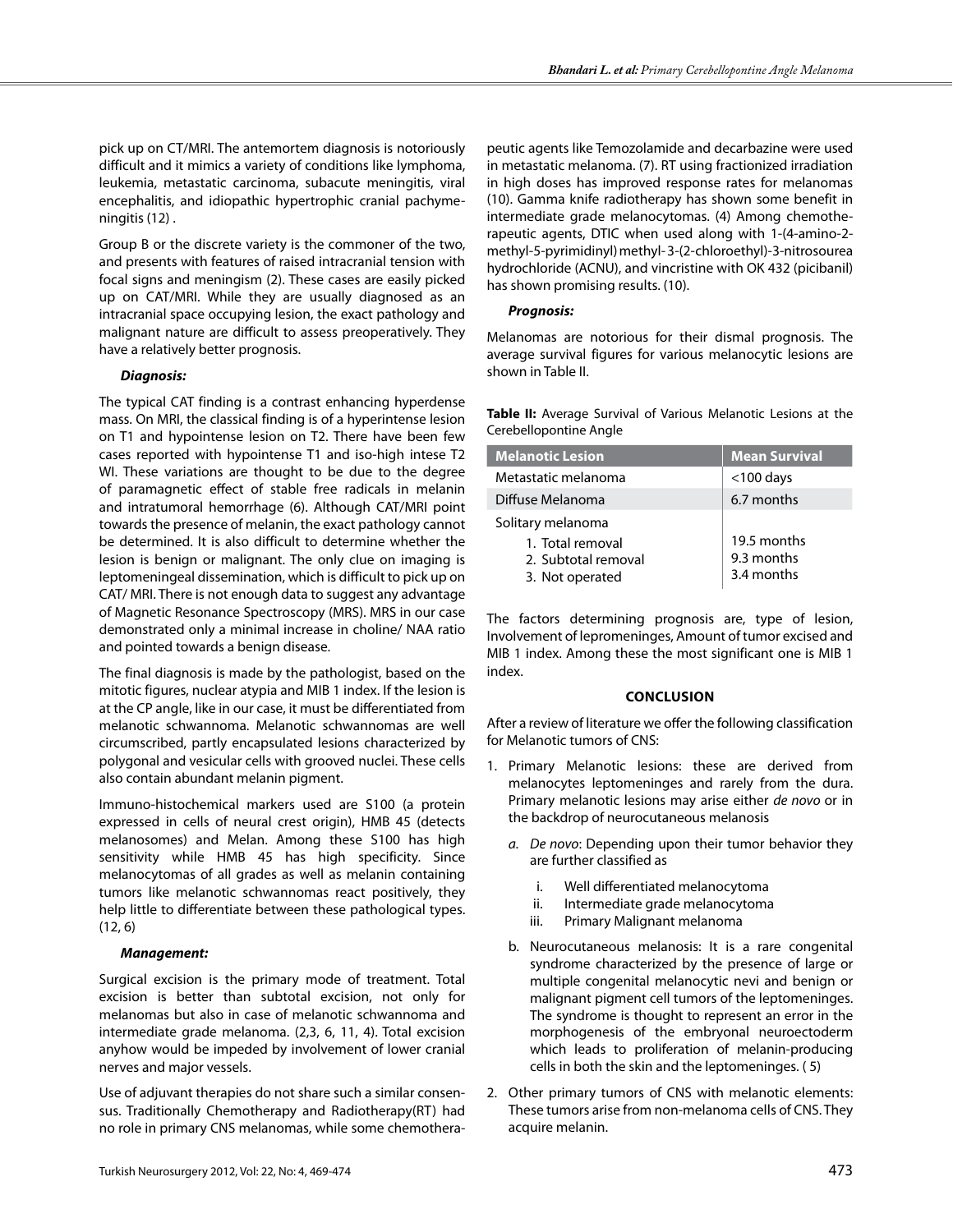pick up on CT/MRI. The antemortem diagnosis is notoriously difficult and it mimics a variety of conditions like lymphoma, leukemia, metastatic carcinoma, subacute meningitis, viral encephalitis, and idiopathic hypertrophic cranial pachymeningitis (12) .

Group B or the discrete variety is the commoner of the two, and presents with features of raised intracranial tension with focal signs and meningism (2). These cases are easily picked up on CAT/MRI. While they are usually diagnosed as an intracranial space occupying lesion, the exact pathology and malignant nature are difficult to assess preoperatively. They have a relatively better prognosis.

## *Diagnosis:*

The typical CAT finding is a contrast enhancing hyperdense mass. On MRI, the classical finding is of a hyperintense lesion on T1 and hypointense lesion on T2. There have been few cases reported with hypointense T1 and iso-high intese T2 WI. These variations are thought to be due to the degree of paramagnetic effect of stable free radicals in melanin and intratumoral hemorrhage (6). Although CAT/MRI point towards the presence of melanin, the exact pathology cannot be determined. It is also difficult to determine whether the lesion is benign or malignant. The only clue on imaging is leptomeningeal dissemination, which is difficult to pick up on CAT/ MRI. There is not enough data to suggest any advantage of Magnetic Resonance Spectroscopy (MRS). MRS in our case demonstrated only a minimal increase in choline/ NAA ratio and pointed towards a benign disease.

The final diagnosis is made by the pathologist, based on the mitotic figures, nuclear atypia and MIB 1 index. If the lesion is at the CP angle, like in our case, it must be differentiated from melanotic schwannoma. Melanotic schwannomas are well circumscribed, partly encapsulated lesions characterized by polygonal and vesicular cells with grooved nuclei. These cells also contain abundant melanin pigment.

Immuno-histochemical markers used are S100 (a protein expressed in cells of neural crest origin), HMB 45 (detects melanosomes) and Melan. Among these S100 has high sensitivity while HMB 45 has high specificity. Since melanocytomas of all grades as well as melanin containing tumors like melanotic schwannomas react positively, they help little to differentiate between these pathological types. (12, 6)

# *Management:*

Surgical excision is the primary mode of treatment. Total excision is better than subtotal excision, not only for melanomas but also in case of melanotic schwannoma and intermediate grade melanoma. (2,3, 6, 11, 4). Total excision anyhow would be impeded by involvement of lower cranial nerves and major vessels.

Use of adjuvant therapies do not share such a similar consensus. Traditionally Chemotherapy and Radiotherapy(RT) had no role in primary CNS melanomas, while some chemotherapeutic agents like Temozolamide and decarbazine were used in metastatic melanoma. (7). RT using fractionized irradiation in high doses has improved response rates for melanomas (10). Gamma knife radiotherapy has shown some benefit in intermediate grade melanocytomas. (4) Among chemotherapeutic agents, DTIC when used along with 1-(4-amino-2 methyl-5-pyrimidinyl) methyl- 3-(2-chloroethyl)-3-nitrosourea hydrochloride (ACNU), and vincristine with OK 432 (picibanil) has shown promising results. (10).

# *Prognosis:*

Melanomas are notorious for their dismal prognosis. The average survival figures for various melanocytic lesions are shown in Table II.

|  |                        |  | <b>Table II:</b> Average Survival of Various Melanotic Lesions at the |  |  |
|--|------------------------|--|-----------------------------------------------------------------------|--|--|
|  | Cerebellopontine Angle |  |                                                                       |  |  |

| <b>Melanotic Lesion</b>                                    | <b>Mean Survival</b>                    |  |  |
|------------------------------------------------------------|-----------------------------------------|--|--|
| Metastatic melanoma                                        | $<$ 100 days                            |  |  |
| Diffuse Melanoma                                           | 6.7 months                              |  |  |
| Solitary melanoma                                          |                                         |  |  |
| 1. Total removal<br>2. Subtotal removal<br>3. Not operated | 19.5 months<br>9.3 months<br>3.4 months |  |  |

The factors determining prognosis are, type of lesion, Involvement of lepromeninges, Amount of tumor excised and MIB 1 index. Among these the most significant one is MIB 1 index.

## **Conclusıon**

After a review of literature we offer the following classification for Melanotic tumors of CNS:

- 1. Primary Melanotic lesions: these are derived from melanocytes leptomeninges and rarely from the dura. Primary melanotic lesions may arise either *de novo* or in the backdrop of neurocutaneous melanosis
	- *a. De novo*: Depending upon their tumor behavior they are further classified as
		- i. Well differentiated melanocytoma
		- ii. Intermediate grade melanocytoma
		- iii. Primary Malignant melanoma
	- b. Neurocutaneous melanosis: It is a rare congenital syndrome characterized by the presence of large or multiple congenital melanocytic nevi and benign or malignant pigment cell tumors of the leptomeninges. The syndrome is thought to represent an error in the morphogenesis of the embryonal neuroectoderm which leads to proliferation of melanin-producing cells in both the skin and the leptomeninges. ( 5)
- 2. Other primary tumors of CNS with melanotic elements: These tumors arise from non-melanoma cells of CNS. They acquire melanin.